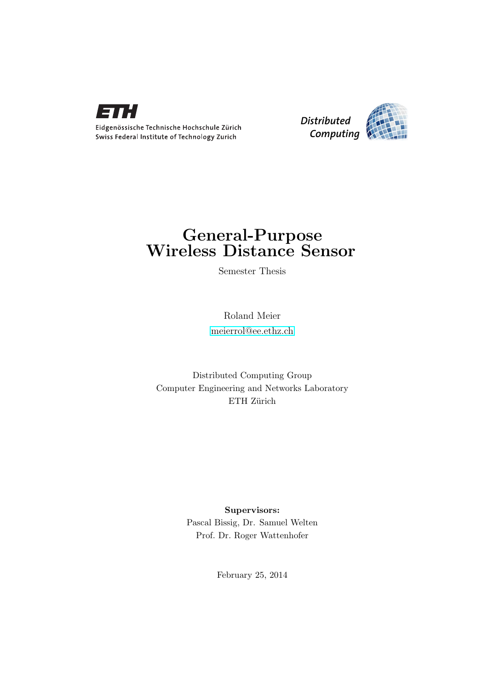

*Distributed Computing* 

### General-Purpose Wireless Distance Sensor

Semester Thesis

Roland Meier [meierrol@ee.ethz.ch](mailto:Roland Meier<meierrol@ee.ethz.ch>)

Distributed Computing Group Computer Engineering and Networks Laboratory ETH Zürich

> Supervisors: Pascal Bissig, Dr. Samuel Welten Prof. Dr. Roger Wattenhofer

> > February 25, 2014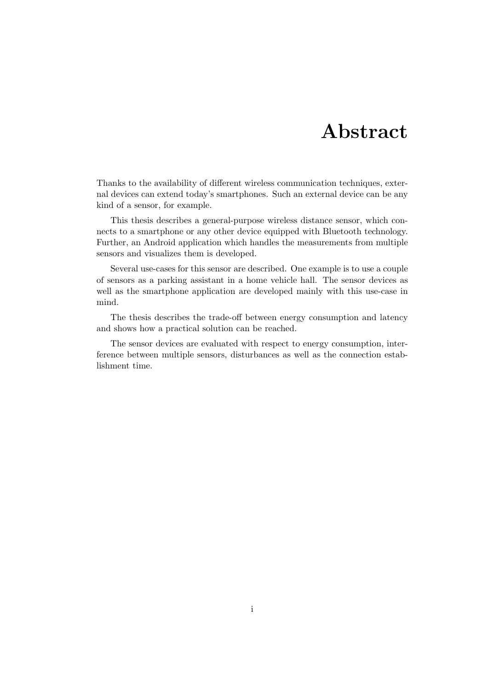### Abstract

<span id="page-1-0"></span>Thanks to the availability of different wireless communication techniques, external devices can extend today's smartphones. Such an external device can be any kind of a sensor, for example.

This thesis describes a general-purpose wireless distance sensor, which connects to a smartphone or any other device equipped with Bluetooth technology. Further, an Android application which handles the measurements from multiple sensors and visualizes them is developed.

Several use-cases for this sensor are described. One example is to use a couple of sensors as a parking assistant in a home vehicle hall. The sensor devices as well as the smartphone application are developed mainly with this use-case in mind.

The thesis describes the trade-off between energy consumption and latency and shows how a practical solution can be reached.

The sensor devices are evaluated with respect to energy consumption, interference between multiple sensors, disturbances as well as the connection establishment time.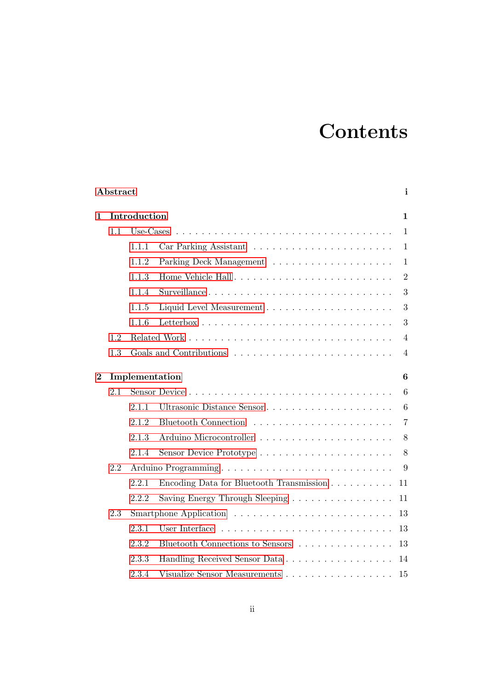# **Contents**

| Abstract |     |                |                                                                     |                  |  |  |  |  |
|----------|-----|----------------|---------------------------------------------------------------------|------------------|--|--|--|--|
| 1        |     | Introduction   |                                                                     | 1                |  |  |  |  |
|          | 1.1 | Use-Cases      |                                                                     | $\mathbf{1}$     |  |  |  |  |
|          |     | 1.1.1          |                                                                     | $\mathbf{1}$     |  |  |  |  |
|          |     | 1.1.2          |                                                                     | $\mathbf{1}$     |  |  |  |  |
|          |     | 1.1.3          |                                                                     | $\overline{2}$   |  |  |  |  |
|          |     | 1.1.4          | Surveillance                                                        | 3                |  |  |  |  |
|          |     | 1.1.5          |                                                                     | 3                |  |  |  |  |
|          |     | 1.1.6          |                                                                     | 3                |  |  |  |  |
|          | 1.2 |                |                                                                     | $\overline{4}$   |  |  |  |  |
|          | 1.3 |                | Goals and Contributions                                             | $\overline{4}$   |  |  |  |  |
| $\bf{2}$ |     | Implementation |                                                                     |                  |  |  |  |  |
|          | 2.1 |                |                                                                     | 6                |  |  |  |  |
|          |     | 2.1.1          | Ultrasonic Distance Sensor                                          | $\boldsymbol{6}$ |  |  |  |  |
|          |     | 2.1.2          |                                                                     | $\overline{7}$   |  |  |  |  |
|          |     | 2.1.3          | Arduino Microcontroller                                             | 8                |  |  |  |  |
|          |     | 2.1.4          |                                                                     | 8                |  |  |  |  |
|          | 2.2 |                | 9                                                                   |                  |  |  |  |  |
|          |     | 2.2.1          | Encoding Data for Bluetooth Transmission                            | 11               |  |  |  |  |
|          |     | 2.2.2          | Saving Energy Through Sleeping $\ldots \ldots \ldots \ldots \ldots$ | 11               |  |  |  |  |
|          | 2.3 |                |                                                                     | 13               |  |  |  |  |
|          |     | 2.3.1          |                                                                     | 13               |  |  |  |  |
|          |     | 2.3.2          | Bluetooth Connections to Sensors                                    | 13               |  |  |  |  |
|          |     | 2.3.3          | Handling Received Sensor Data                                       | 14               |  |  |  |  |
|          |     | 2.3.4          | Visualize Sensor Measurements                                       | 15               |  |  |  |  |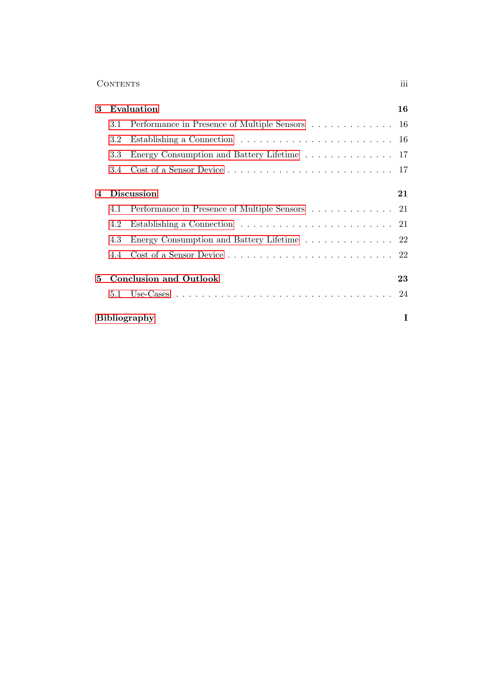#### Contents iii

| 3              | Evaluation                    |                                                    |   |
|----------------|-------------------------------|----------------------------------------------------|---|
|                | 3.1                           | Performance in Presence of Multiple Sensors 16     |   |
|                | 3.2                           |                                                    |   |
|                | 3.3                           | Energy Consumption and Battery Lifetime 17         |   |
|                | 3.4                           |                                                    |   |
| $\overline{4}$ | <b>Discussion</b>             |                                                    |   |
|                |                               | 4.1 Performance in Presence of Multiple Sensors 21 |   |
|                | 4.2                           |                                                    |   |
|                | 4.3                           | Energy Consumption and Battery Lifetime 22         |   |
|                | 4.4                           |                                                    |   |
| 5.             | <b>Conclusion and Outlook</b> |                                                    |   |
|                |                               |                                                    |   |
|                |                               | <b>Bibliography</b>                                | T |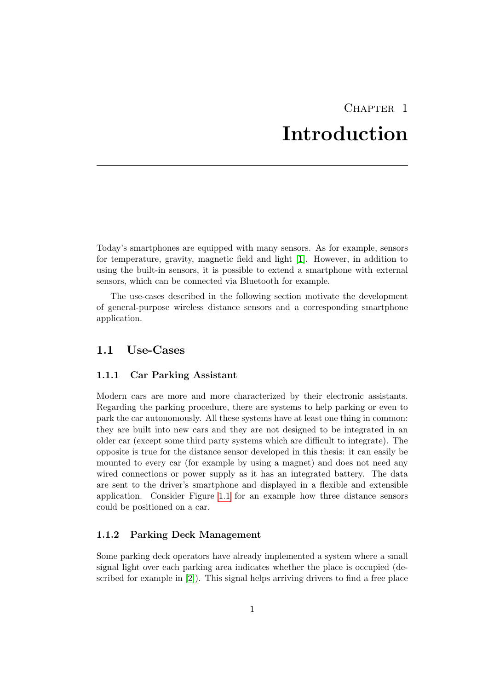### CHAPTER<sub>1</sub> Introduction

<span id="page-4-0"></span>Today's smartphones are equipped with many sensors. As for example, sensors for temperature, gravity, magnetic field and light [\[1\]](#page-29-1). However, in addition to using the built-in sensors, it is possible to extend a smartphone with external sensors, which can be connected via Bluetooth for example.

The use-cases described in the following section motivate the development of general-purpose wireless distance sensors and a corresponding smartphone application.

#### <span id="page-4-1"></span>1.1 Use-Cases

#### <span id="page-4-2"></span>1.1.1 Car Parking Assistant

Modern cars are more and more characterized by their electronic assistants. Regarding the parking procedure, there are systems to help parking or even to park the car autonomously. All these systems have at least one thing in common: they are built into new cars and they are not designed to be integrated in an older car (except some third party systems which are difficult to integrate). The opposite is true for the distance sensor developed in this thesis: it can easily be mounted to every car (for example by using a magnet) and does not need any wired connections or power supply as it has an integrated battery. The data are sent to the driver's smartphone and displayed in a flexible and extensible application. Consider Figure [1.1](#page-5-1) for an example how three distance sensors could be positioned on a car.

#### <span id="page-4-3"></span>1.1.2 Parking Deck Management

Some parking deck operators have already implemented a system where a small signal light over each parking area indicates whether the place is occupied (described for example in [\[2\]](#page-29-2)). This signal helps arriving drivers to find a free place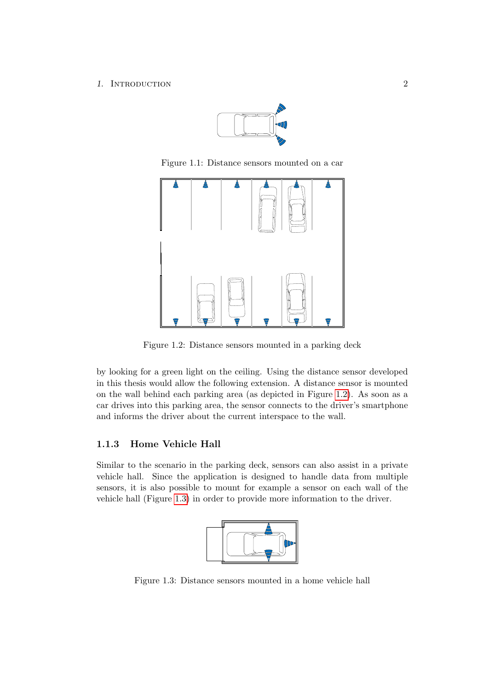#### 1. INTRODUCTION 2



<span id="page-5-1"></span>Figure 1.1: Distance sensors mounted on a car



Figure 1.2: Distance sensors mounted in a parking deck

<span id="page-5-2"></span>by looking for a green light on the ceiling. Using the distance sensor developed in this thesis would allow the following extension. A distance sensor is mounted on the wall behind each parking area (as depicted in Figure [1.2\)](#page-5-2). As soon as a car drives into this parking area, the sensor connects to the driver's smartphone and informs the driver about the current interspace to the wall.

#### <span id="page-5-0"></span>1.1.3 Home Vehicle Hall

Similar to the scenario in the parking deck, sensors can also assist in a private vehicle hall. Since the application is designed to handle data from multiple sensors, it is also possible to mount for example a sensor on each wall of the vehicle hall (Figure [1.3\)](#page-5-3) in order to provide more information to the driver.



<span id="page-5-3"></span>Figure 1.3: Distance sensors mounted in a home vehicle hall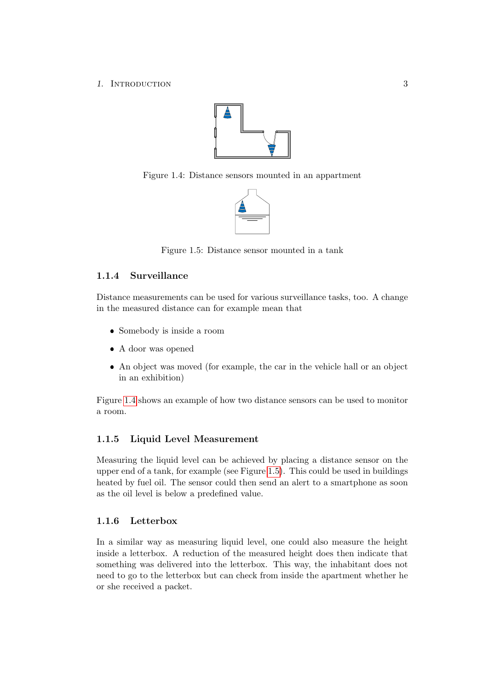1. INTRODUCTION 3



Figure 1.4: Distance sensors mounted in an appartment

<span id="page-6-3"></span>

<span id="page-6-4"></span>Figure 1.5: Distance sensor mounted in a tank

#### <span id="page-6-0"></span>1.1.4 Surveillance

Distance measurements can be used for various surveillance tasks, too. A change in the measured distance can for example mean that

- Somebody is inside a room
- A door was opened
- An object was moved (for example, the car in the vehicle hall or an object in an exhibition)

Figure [1.4](#page-6-3) shows an example of how two distance sensors can be used to monitor a room.

#### <span id="page-6-1"></span>1.1.5 Liquid Level Measurement

Measuring the liquid level can be achieved by placing a distance sensor on the upper end of a tank, for example (see Figure [1.5\)](#page-6-4). This could be used in buildings heated by fuel oil. The sensor could then send an alert to a smartphone as soon as the oil level is below a predefined value.

#### <span id="page-6-2"></span>1.1.6 Letterbox

In a similar way as measuring liquid level, one could also measure the height inside a letterbox. A reduction of the measured height does then indicate that something was delivered into the letterbox. This way, the inhabitant does not need to go to the letterbox but can check from inside the apartment whether he or she received a packet.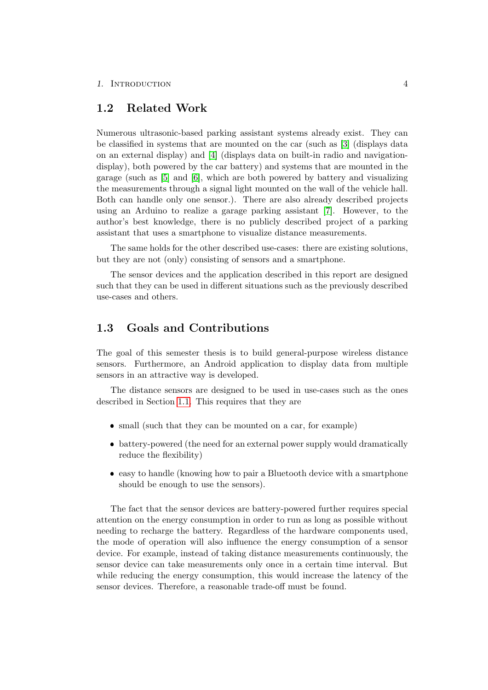#### <span id="page-7-0"></span>1.2 Related Work

Numerous ultrasonic-based parking assistant systems already exist. They can be classified in systems that are mounted on the car (such as [\[3\]](#page-29-3) (displays data on an external display) and [\[4\]](#page-29-4) (displays data on built-in radio and navigationdisplay), both powered by the car battery) and systems that are mounted in the garage (such as [\[5\]](#page-29-5) and [\[6\]](#page-29-6), which are both powered by battery and visualizing the measurements through a signal light mounted on the wall of the vehicle hall. Both can handle only one sensor.). There are also already described projects using an Arduino to realize a garage parking assistant [\[7\]](#page-29-7). However, to the author's best knowledge, there is no publicly described project of a parking assistant that uses a smartphone to visualize distance measurements.

The same holds for the other described use-cases: there are existing solutions, but they are not (only) consisting of sensors and a smartphone.

The sensor devices and the application described in this report are designed such that they can be used in different situations such as the previously described use-cases and others.

#### <span id="page-7-1"></span>1.3 Goals and Contributions

The goal of this semester thesis is to build general-purpose wireless distance sensors. Furthermore, an Android application to display data from multiple sensors in an attractive way is developed.

The distance sensors are designed to be used in use-cases such as the ones described in Section [1.1.](#page-4-1) This requires that they are

- small (such that they can be mounted on a car, for example)
- battery-powered (the need for an external power supply would dramatically reduce the flexibility)
- easy to handle (knowing how to pair a Bluetooth device with a smartphone should be enough to use the sensors).

The fact that the sensor devices are battery-powered further requires special attention on the energy consumption in order to run as long as possible without needing to recharge the battery. Regardless of the hardware components used, the mode of operation will also influence the energy consumption of a sensor device. For example, instead of taking distance measurements continuously, the sensor device can take measurements only once in a certain time interval. But while reducing the energy consumption, this would increase the latency of the sensor devices. Therefore, a reasonable trade-off must be found.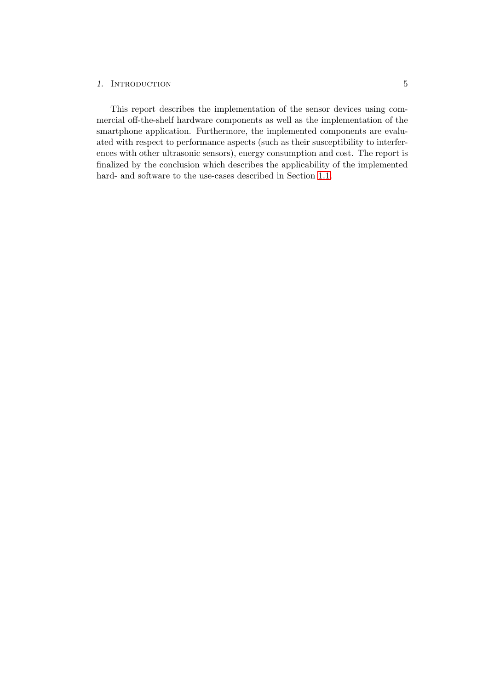#### 1. INTRODUCTION 5

This report describes the implementation of the sensor devices using commercial off-the-shelf hardware components as well as the implementation of the smartphone application. Furthermore, the implemented components are evaluated with respect to performance aspects (such as their susceptibility to interferences with other ultrasonic sensors), energy consumption and cost. The report is finalized by the conclusion which describes the applicability of the implemented hard- and software to the use-cases described in Section [1.1.](#page-4-1)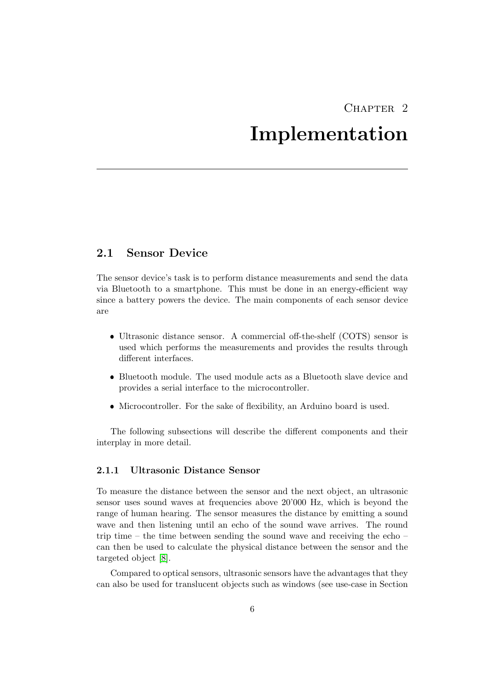### $CHAPTER$  2

### Implementation

#### <span id="page-9-1"></span><span id="page-9-0"></span>2.1 Sensor Device

The sensor device's task is to perform distance measurements and send the data via Bluetooth to a smartphone. This must be done in an energy-efficient way since a battery powers the device. The main components of each sensor device are

- Ultrasonic distance sensor. A commercial off-the-shelf (COTS) sensor is used which performs the measurements and provides the results through different interfaces.
- Bluetooth module. The used module acts as a Bluetooth slave device and provides a serial interface to the microcontroller.
- Microcontroller. For the sake of flexibility, an Arduino board is used.

The following subsections will describe the different components and their interplay in more detail.

#### <span id="page-9-2"></span>2.1.1 Ultrasonic Distance Sensor

To measure the distance between the sensor and the next object, an ultrasonic sensor uses sound waves at frequencies above 20'000 Hz, which is beyond the range of human hearing. The sensor measures the distance by emitting a sound wave and then listening until an echo of the sound wave arrives. The round trip time – the time between sending the sound wave and receiving the echo – can then be used to calculate the physical distance between the sensor and the targeted object [\[8\]](#page-29-8).

Compared to optical sensors, ultrasonic sensors have the advantages that they can also be used for translucent objects such as windows (see use-case in Section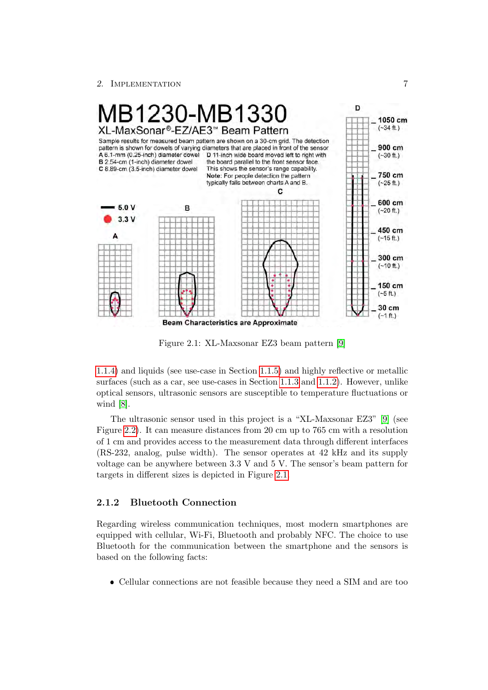

<span id="page-10-1"></span>Figure 2.1: XL-Maxsonar EZ3 beam pattern [\[9\]](#page-29-9)

[1.1.4\)](#page-6-0) and liquids (see use-case in Section [1.1.5\)](#page-6-1) and highly reflective or metallic  $\sigma$   $\sigma$   $\sigma$   $\sigma$  $\mathfrak{m}$   $\dots$ optical sensors, ultrasonic sensors are susceptible to temperature fluctuations or  $\frac{1}{\sqrt{2}}$ surfaces (such as a car, see use-cases in Section [1.1.3](#page-5-0) and [1.1.2\)](#page-4-3). However, unlike wind  $[8]$ .

**targets** in different targets in different sizes is depicted in Figure [2.1.](#page-10-1) The ultrasonic sensor used in this project is a "XL-Maxsonar EZ3" [\[9\]](#page-29-9) (see Figure [2.2\)](#page-12-1). It can measure distances from 20 cm up to 765 cm with a resolution  $\frac{1}{2}$  is the motion of the duration in  $\frac{1}{2}$  in  $\frac{1}{2}$  in  $\frac{1}{2}$  in  $\frac{1}{2}$  in  $\frac{1}{2}$  in  $\frac{1}{2}$  $\frac{1}{2}$ of 1 cm and provides access to the measurement data through different interfaces (RS-232, analog, pulse width). The sensor operates at 42 kHz and its supply voltage can be anywhere between 3.3 V and 5 V. The sensor's beam pattern for

#### <span id="page-10-0"></span>2.1.2 Bluetooth Connection

Regarding wireless communication techniques, most modern smartphones are equipped with cellular, Wi-Fi, Bluetooth and probably NFC. The choice to use Bluetooth for the communication between the smartphone and the sensors is based on the following facts:

Cellular connections are not feasible because they need a SIM and are too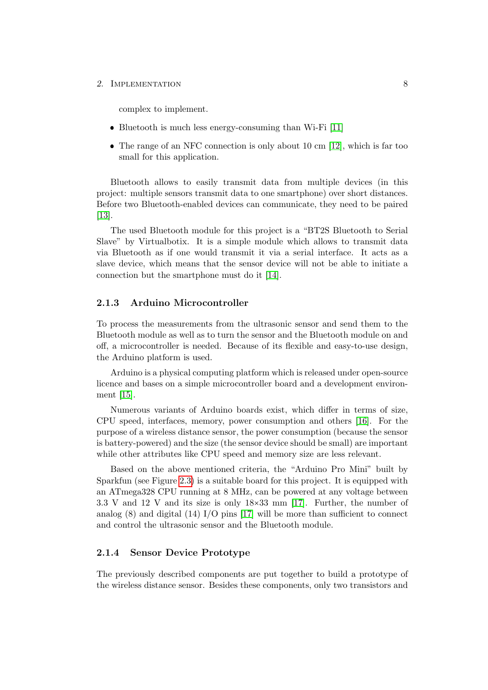complex to implement.

- Bluetooth is much less energy-consuming than Wi-Fi [\[11\]](#page-30-0)
- $\bullet$  The range of an NFC connection is only about 10 cm [\[12\]](#page-30-1), which is far too small for this application.

Bluetooth allows to easily transmit data from multiple devices (in this project: multiple sensors transmit data to one smartphone) over short distances. Before two Bluetooth-enabled devices can communicate, they need to be paired [\[13\]](#page-30-2).

The used Bluetooth module for this project is a "BT2S Bluetooth to Serial Slave" by Virtualbotix. It is a simple module which allows to transmit data via Bluetooth as if one would transmit it via a serial interface. It acts as a slave device, which means that the sensor device will not be able to initiate a connection but the smartphone must do it [\[14\]](#page-30-3).

#### <span id="page-11-0"></span>2.1.3 Arduino Microcontroller

To process the measurements from the ultrasonic sensor and send them to the Bluetooth module as well as to turn the sensor and the Bluetooth module on and off, a microcontroller is needed. Because of its flexible and easy-to-use design, the Arduino platform is used.

Arduino is a physical computing platform which is released under open-source licence and bases on a simple microcontroller board and a development environment [\[15\]](#page-30-4).

Numerous variants of Arduino boards exist, which differ in terms of size, CPU speed, interfaces, memory, power consumption and others [\[16\]](#page-30-5). For the purpose of a wireless distance sensor, the power consumption (because the sensor is battery-powered) and the size (the sensor device should be small) are important while other attributes like CPU speed and memory size are less relevant.

Based on the above mentioned criteria, the "Arduino Pro Mini" built by Sparkfun (see Figure [2.3\)](#page-12-2) is a suitable board for this project. It is equipped with an ATmega328 CPU running at 8 MHz, can be powered at any voltage between 3.3 V and 12 V and its size is only 18×33 mm [\[17\]](#page-30-6). Further, the number of analog  $(8)$  and digital  $(14)$  I/O pins [\[17\]](#page-30-6) will be more than sufficient to connect and control the ultrasonic sensor and the Bluetooth module.

#### <span id="page-11-1"></span>2.1.4 Sensor Device Prototype

The previously described components are put together to build a prototype of the wireless distance sensor. Besides these components, only two transistors and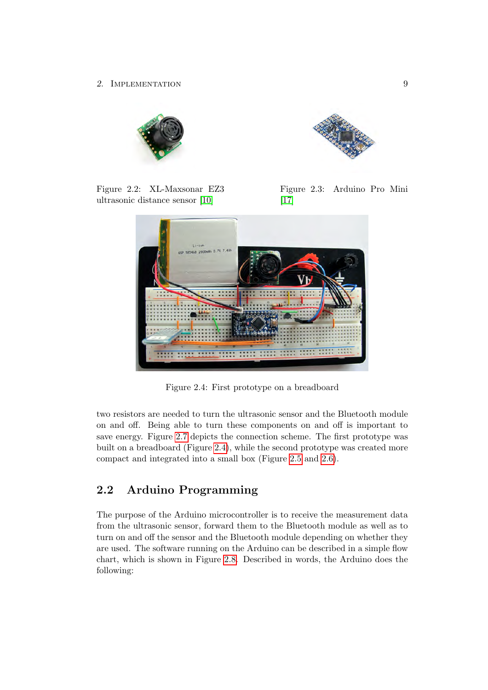

Figure 2.2: XL-Maxsonar EZ3 ultrasonic distance sensor [\[10\]](#page-29-10)

<span id="page-12-2"></span>

Figure 2.3: Arduino Pro Mini [\[17\]](#page-30-6)

<span id="page-12-1"></span>

<span id="page-12-3"></span>Figure 2.4: First prototype on a breadboard

two resistors are needed to turn the ultrasonic sensor and the Bluetooth module on and off. Being able to turn these components on and off is important to save energy. Figure [2.7](#page-13-0) depicts the connection scheme. The first prototype was built on a breadboard (Figure [2.4\)](#page-12-3), while the second prototype was created more compact and integrated into a small box (Figure [2.5](#page-13-1) and [2.6\)](#page-13-2).

### <span id="page-12-0"></span>2.2 Arduino Programming

The purpose of the Arduino microcontroller is to receive the measurement data from the ultrasonic sensor, forward them to the Bluetooth module as well as to turn on and off the sensor and the Bluetooth module depending on whether they are used. The software running on the Arduino can be described in a simple flow chart, which is shown in Figure [2.8.](#page-15-0) Described in words, the Arduino does the following: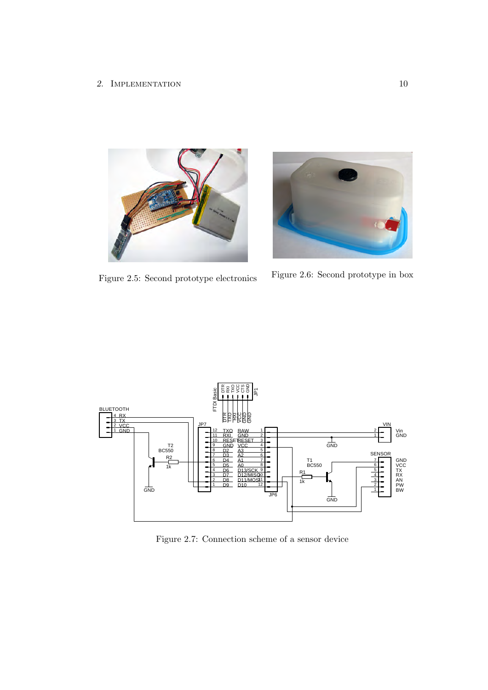

<span id="page-13-1"></span>

Figure 2.5: Second prototype electronics Figure 2.6: Second prototype in box

<span id="page-13-2"></span>



<span id="page-13-0"></span>Figure 2.7: Connection scheme of a sensor device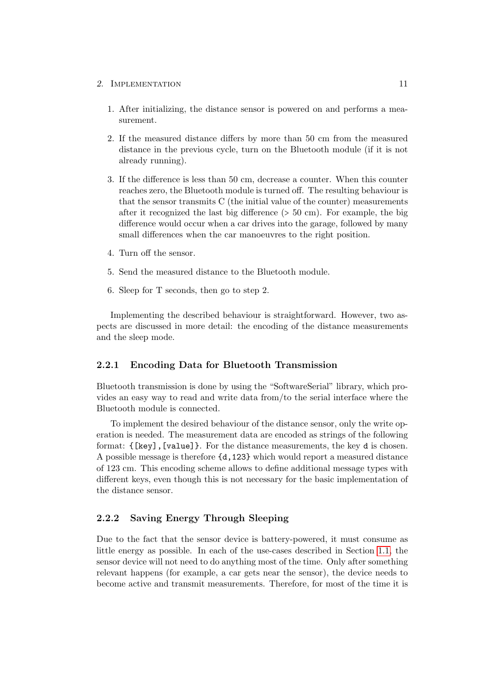- 1. After initializing, the distance sensor is powered on and performs a measurement.
- 2. If the measured distance differs by more than 50 cm from the measured distance in the previous cycle, turn on the Bluetooth module (if it is not already running).
- 3. If the difference is less than 50 cm, decrease a counter. When this counter reaches zero, the Bluetooth module is turned off. The resulting behaviour is that the sensor transmits C (the initial value of the counter) measurements after it recognized the last big difference (> 50 cm). For example, the big difference would occur when a car drives into the garage, followed by many small differences when the car manoeuvres to the right position.
- 4. Turn off the sensor.
- 5. Send the measured distance to the Bluetooth module.
- 6. Sleep for T seconds, then go to step 2.

Implementing the described behaviour is straightforward. However, two aspects are discussed in more detail: the encoding of the distance measurements and the sleep mode.

#### <span id="page-14-0"></span>2.2.1 Encoding Data for Bluetooth Transmission

Bluetooth transmission is done by using the "SoftwareSerial" library, which provides an easy way to read and write data from/to the serial interface where the Bluetooth module is connected.

To implement the desired behaviour of the distance sensor, only the write operation is needed. The measurement data are encoded as strings of the following format: {[key],[value]}. For the distance measurements, the key d is chosen. A possible message is therefore {d,123} which would report a measured distance of 123 cm. This encoding scheme allows to define additional message types with different keys, even though this is not necessary for the basic implementation of the distance sensor.

#### <span id="page-14-1"></span>2.2.2 Saving Energy Through Sleeping

Due to the fact that the sensor device is battery-powered, it must consume as little energy as possible. In each of the use-cases described in Section [1.1,](#page-4-1) the sensor device will not need to do anything most of the time. Only after something relevant happens (for example, a car gets near the sensor), the device needs to become active and transmit measurements. Therefore, for most of the time it is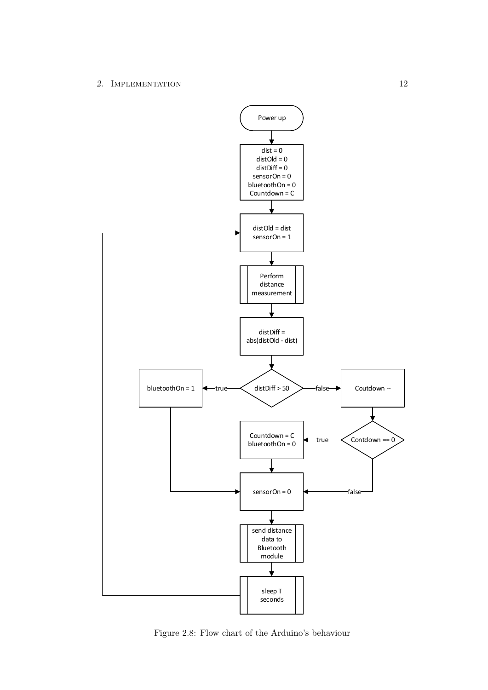

<span id="page-15-0"></span>Figure 2.8: Flow chart of the Arduino's behaviour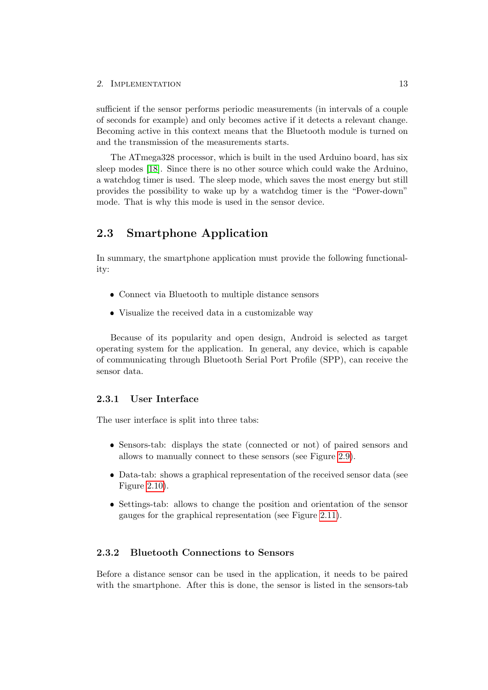sufficient if the sensor performs periodic measurements (in intervals of a couple of seconds for example) and only becomes active if it detects a relevant change. Becoming active in this context means that the Bluetooth module is turned on and the transmission of the measurements starts.

The ATmega328 processor, which is built in the used Arduino board, has six sleep modes [\[18\]](#page-30-7). Since there is no other source which could wake the Arduino, a watchdog timer is used. The sleep mode, which saves the most energy but still provides the possibility to wake up by a watchdog timer is the "Power-down" mode. That is why this mode is used in the sensor device.

#### <span id="page-16-0"></span>2.3 Smartphone Application

In summary, the smartphone application must provide the following functionality:

- Connect via Bluetooth to multiple distance sensors
- Visualize the received data in a customizable way

Because of its popularity and open design, Android is selected as target operating system for the application. In general, any device, which is capable of communicating through Bluetooth Serial Port Profile (SPP), can receive the sensor data.

#### <span id="page-16-1"></span>2.3.1 User Interface

The user interface is split into three tabs:

- Sensors-tab: displays the state (connected or not) of paired sensors and allows to manually connect to these sensors (see Figure [2.9\)](#page-17-1).
- Data-tab: shows a graphical representation of the received sensor data (see Figure [2.10\)](#page-17-2).
- Settings-tab: allows to change the position and orientation of the sensor gauges for the graphical representation (see Figure [2.11\)](#page-17-3).

#### <span id="page-16-2"></span>2.3.2 Bluetooth Connections to Sensors

Before a distance sensor can be used in the application, it needs to be paired with the smartphone. After this is done, the sensor is listed in the sensors-tab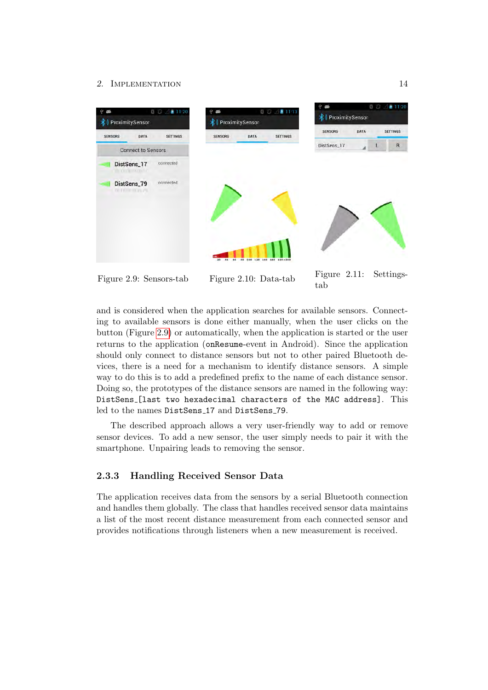

<span id="page-17-3"></span><span id="page-17-2"></span><span id="page-17-1"></span>

and is considered when the application searches for available sensors. Connecting to available sensors is done either manually, when the user clicks on the button (Figure [2.9\)](#page-17-1) or automatically, when the application is started or the user returns to the application (onResume-event in Android). Since the application should only connect to distance sensors but not to other paired Bluetooth devices, there is a need for a mechanism to identify distance sensors. A simple way to do this is to add a predefined prefix to the name of each distance sensor. Doing so, the prototypes of the distance sensors are named in the following way: DistSens [last two hexadecimal characters of the MAC address]. This led to the names DistSens 17 and DistSens 79.

The described approach allows a very user-friendly way to add or remove sensor devices. To add a new sensor, the user simply needs to pair it with the smartphone. Unpairing leads to removing the sensor.

#### <span id="page-17-0"></span>2.3.3 Handling Received Sensor Data

The application receives data from the sensors by a serial Bluetooth connection and handles them globally. The class that handles received sensor data maintains a list of the most recent distance measurement from each connected sensor and provides notifications through listeners when a new measurement is received.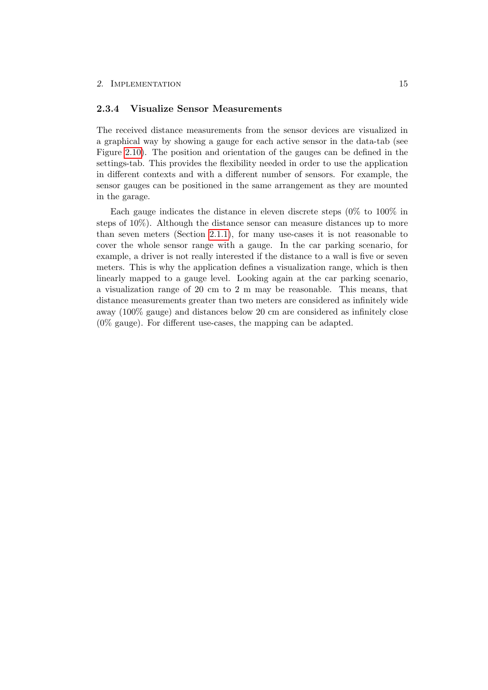#### <span id="page-18-0"></span>2.3.4 Visualize Sensor Measurements

The received distance measurements from the sensor devices are visualized in a graphical way by showing a gauge for each active sensor in the data-tab (see Figure [2.10\)](#page-17-2). The position and orientation of the gauges can be defined in the settings-tab. This provides the flexibility needed in order to use the application in different contexts and with a different number of sensors. For example, the sensor gauges can be positioned in the same arrangement as they are mounted in the garage.

Each gauge indicates the distance in eleven discrete steps (0% to 100% in steps of 10%). Although the distance sensor can measure distances up to more than seven meters (Section [2.1.1\)](#page-9-2), for many use-cases it is not reasonable to cover the whole sensor range with a gauge. In the car parking scenario, for example, a driver is not really interested if the distance to a wall is five or seven meters. This is why the application defines a visualization range, which is then linearly mapped to a gauge level. Looking again at the car parking scenario, a visualization range of 20 cm to 2 m may be reasonable. This means, that distance measurements greater than two meters are considered as infinitely wide away (100% gauge) and distances below 20 cm are considered as infinitely close (0% gauge). For different use-cases, the mapping can be adapted.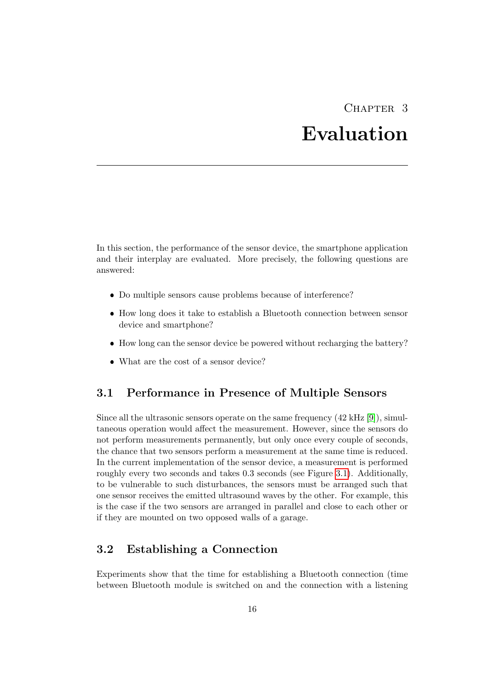### CHAPTER 3 Evaluation

<span id="page-19-0"></span>In this section, the performance of the sensor device, the smartphone application and their interplay are evaluated. More precisely, the following questions are answered:

- Do multiple sensors cause problems because of interference?
- How long does it take to establish a Bluetooth connection between sensor device and smartphone?
- How long can the sensor device be powered without recharging the battery?
- What are the cost of a sensor device?

#### <span id="page-19-1"></span>3.1 Performance in Presence of Multiple Sensors

Since all the ultrasonic sensors operate on the same frequency  $(42 \text{ kHz} [9])$  $(42 \text{ kHz} [9])$  $(42 \text{ kHz} [9])$ , simultaneous operation would affect the measurement. However, since the sensors do not perform measurements permanently, but only once every couple of seconds, the chance that two sensors perform a measurement at the same time is reduced. In the current implementation of the sensor device, a measurement is performed roughly every two seconds and takes 0.3 seconds (see Figure [3.1\)](#page-21-0). Additionally, to be vulnerable to such disturbances, the sensors must be arranged such that one sensor receives the emitted ultrasound waves by the other. For example, this is the case if the two sensors are arranged in parallel and close to each other or if they are mounted on two opposed walls of a garage.

#### <span id="page-19-2"></span>3.2 Establishing a Connection

Experiments show that the time for establishing a Bluetooth connection (time between Bluetooth module is switched on and the connection with a listening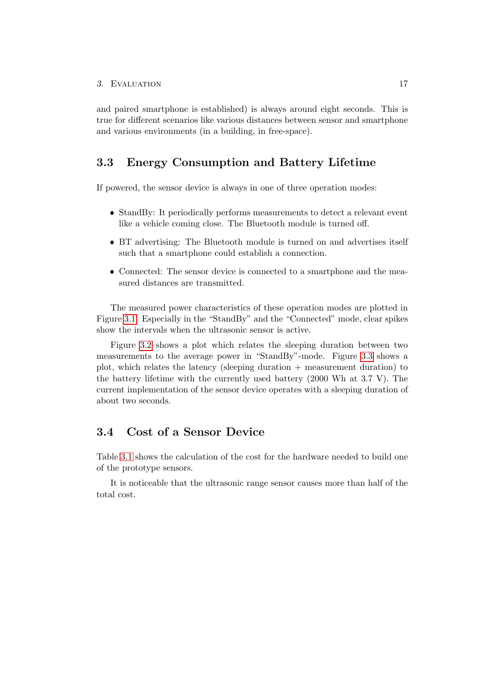and paired smartphone is established) is always around eight seconds. This is true for different scenarios like various distances between sensor and smartphone and various environments (in a building, in free-space).

#### <span id="page-20-0"></span>3.3 Energy Consumption and Battery Lifetime

If powered, the sensor device is always in one of three operation modes:

- StandBy: It periodically performs measurements to detect a relevant event like a vehicle coming close. The Bluetooth module is turned off.
- BT advertising: The Bluetooth module is turned on and advertises itself such that a smartphone could establish a connection.
- Connected: The sensor device is connected to a smartphone and the measured distances are transmitted.

The measured power characteristics of these operation modes are plotted in Figure [3.1.](#page-21-0) Especially in the "StandBy" and the "Connected" mode, clear spikes show the intervals when the ultrasonic sensor is active.

Figure [3.2](#page-22-0) shows a plot which relates the sleeping duration between two measurements to the average power in "StandBy"-mode. Figure [3.3](#page-22-1) shows a plot, which relates the latency (sleeping duration + measurement duration) to the battery lifetime with the currently used battery (2000 Wh at 3.7 V). The current implementation of the sensor device operates with a sleeping duration of about two seconds.

#### <span id="page-20-1"></span>3.4 Cost of a Sensor Device

Table [3.1](#page-23-0) shows the calculation of the cost for the hardware needed to build one of the prototype sensors.

It is noticeable that the ultrasonic range sensor causes more than half of the total cost.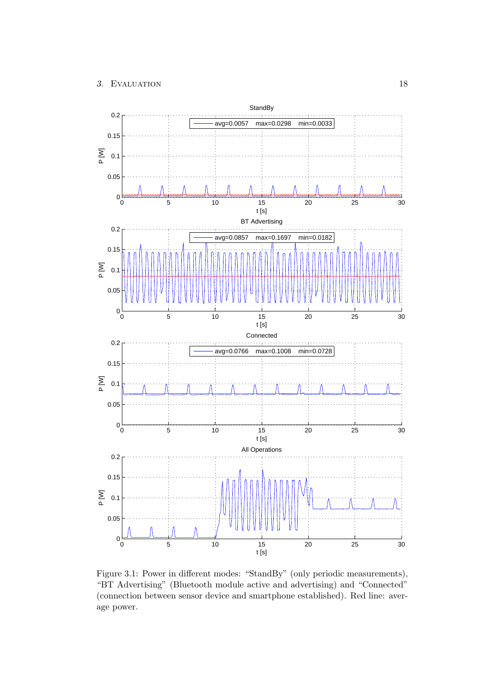#### 3. EVALUATION 18



<span id="page-21-0"></span>Figure 3.1: Power in different modes: "StandBy" (only periodic measurements), "BT Advertising" (Bluetooth module active and advertising) and "Connected" (connection between sensor device and smartphone established). Red line: average power.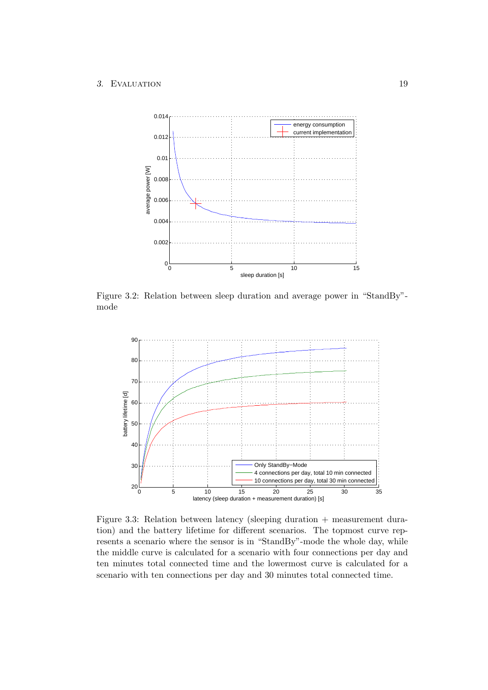

<span id="page-22-0"></span>Figure 3.2: Relation between sleep duration and average power in "StandBy" mode



<span id="page-22-1"></span>Figure 3.3: Relation between latency (sleeping duration + measurement duration) and the battery lifetime for different scenarios. The topmost curve represents a scenario where the sensor is in "StandBy"-mode the whole day, while the middle curve is calculated for a scenario with four connections per day and ten minutes total connected time and the lowermost curve is calculated for a scenario with ten connections per day and 30 minutes total connected time.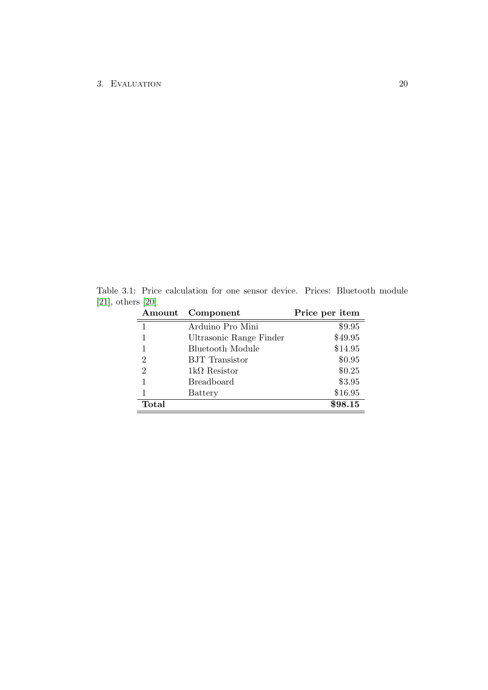Table 3.1: Price calculation for one sensor device. Prices: Bluetooth module [\[21\]](#page-30-8), others [\[20\]](#page-30-9)

<span id="page-23-0"></span>

| Amount         | Component               | Price per item |
|----------------|-------------------------|----------------|
| $\mathbf{1}$   | Arduino Pro Mini        | \$9.95         |
| 1              | Ultrasonic Range Finder | \$49.95        |
| 1              | Bluetooth Module        | \$14.95        |
| $\overline{2}$ | <b>BJT</b> Transistor   | \$0.95         |
| $\overline{2}$ | $1k\Omega$ Resistor     | \$0.25         |
| 1              | <b>Breadboard</b>       | \$3.95         |
| 1              | Battery                 | \$16.95        |
| Total          |                         | \$98.15        |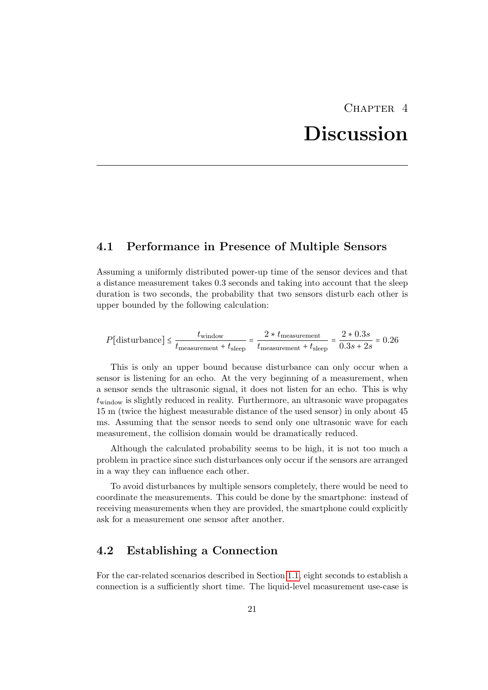### CHAPTER<sub>4</sub>

# Discussion

#### <span id="page-24-1"></span><span id="page-24-0"></span>4.1 Performance in Presence of Multiple Sensors

Assuming a uniformly distributed power-up time of the sensor devices and that a distance measurement takes 0.3 seconds and taking into account that the sleep duration is two seconds, the probability that two sensors disturb each other is upper bounded by the following calculation:

$$
P[\text{disturbance}] \le \frac{t_{\text{window}}}{t_{\text{measurement}} + t_{\text{sleep}}} = \frac{2 \times t_{\text{measurement}}}{t_{\text{measurement}} + t_{\text{sleep}}} = \frac{2 \times 0.3s}{0.3s + 2s} = 0.26
$$

This is only an upper bound because disturbance can only occur when a sensor is listening for an echo. At the very beginning of a measurement, when a sensor sends the ultrasonic signal, it does not listen for an echo. This is why  $t_{\text{window}}$  is slightly reduced in reality. Furthermore, an ultrasonic wave propagates 15 m (twice the highest measurable distance of the used sensor) in only about 45 ms. Assuming that the sensor needs to send only one ultrasonic wave for each measurement, the collision domain would be dramatically reduced.

Although the calculated probability seems to be high, it is not too much a problem in practice since such disturbances only occur if the sensors are arranged in a way they can influence each other.

To avoid disturbances by multiple sensors completely, there would be need to coordinate the measurements. This could be done by the smartphone: instead of receiving measurements when they are provided, the smartphone could explicitly ask for a measurement one sensor after another.

#### <span id="page-24-2"></span>4.2 Establishing a Connection

For the car-related scenarios described in Section [1.1,](#page-4-1) eight seconds to establish a connection is a sufficiently short time. The liquid-level measurement use-case is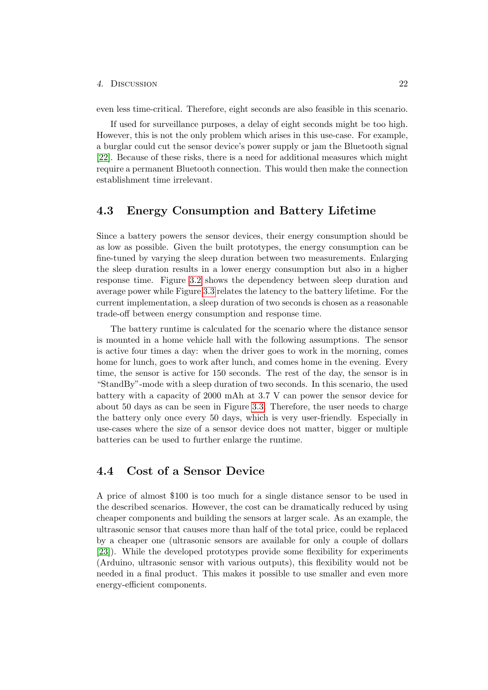#### 4. Discussion 22

even less time-critical. Therefore, eight seconds are also feasible in this scenario.

If used for surveillance purposes, a delay of eight seconds might be too high. However, this is not the only problem which arises in this use-case. For example, a burglar could cut the sensor device's power supply or jam the Bluetooth signal [\[22\]](#page-30-10). Because of these risks, there is a need for additional measures which might require a permanent Bluetooth connection. This would then make the connection establishment time irrelevant.

#### <span id="page-25-0"></span>4.3 Energy Consumption and Battery Lifetime

Since a battery powers the sensor devices, their energy consumption should be as low as possible. Given the built prototypes, the energy consumption can be fine-tuned by varying the sleep duration between two measurements. Enlarging the sleep duration results in a lower energy consumption but also in a higher response time. Figure [3.2](#page-22-0) shows the dependency between sleep duration and average power while Figure [3.3](#page-22-1) relates the latency to the battery lifetime. For the current implementation, a sleep duration of two seconds is chosen as a reasonable trade-off between energy consumption and response time.

The battery runtime is calculated for the scenario where the distance sensor is mounted in a home vehicle hall with the following assumptions. The sensor is active four times a day: when the driver goes to work in the morning, comes home for lunch, goes to work after lunch, and comes home in the evening. Every time, the sensor is active for 150 seconds. The rest of the day, the sensor is in "StandBy"-mode with a sleep duration of two seconds. In this scenario, the used battery with a capacity of 2000 mAh at 3.7 V can power the sensor device for about 50 days as can be seen in Figure [3.3.](#page-22-1) Therefore, the user needs to charge the battery only once every 50 days, which is very user-friendly. Especially in use-cases where the size of a sensor device does not matter, bigger or multiple batteries can be used to further enlarge the runtime.

#### <span id="page-25-1"></span>4.4 Cost of a Sensor Device

A price of almost \$100 is too much for a single distance sensor to be used in the described scenarios. However, the cost can be dramatically reduced by using cheaper components and building the sensors at larger scale. As an example, the ultrasonic sensor that causes more than half of the total price, could be replaced by a cheaper one (ultrasonic sensors are available for only a couple of dollars [\[23\]](#page-30-11)). While the developed prototypes provide some flexibility for experiments (Arduino, ultrasonic sensor with various outputs), this flexibility would not be needed in a final product. This makes it possible to use smaller and even more energy-efficient components.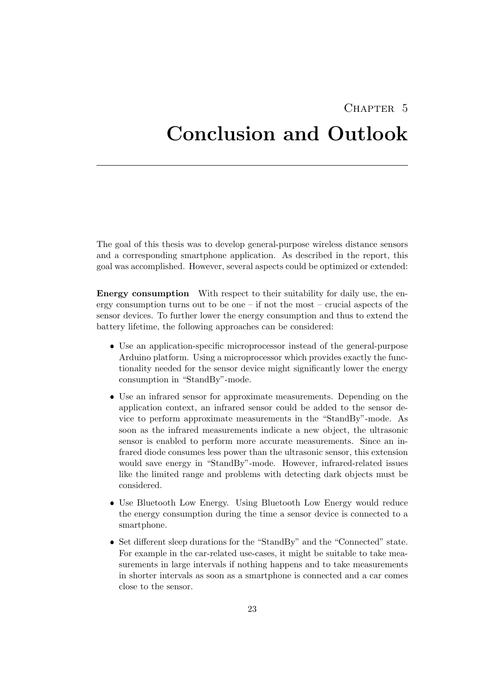# <span id="page-26-0"></span>CHAPTER<sub>5</sub> Conclusion and Outlook

The goal of this thesis was to develop general-purpose wireless distance sensors and a corresponding smartphone application. As described in the report, this goal was accomplished. However, several aspects could be optimized or extended:

Energy consumption With respect to their suitability for daily use, the energy consumption turns out to be one  $-$  if not the most  $-$  crucial aspects of the sensor devices. To further lower the energy consumption and thus to extend the battery lifetime, the following approaches can be considered:

- Use an application-specific microprocessor instead of the general-purpose Arduino platform. Using a microprocessor which provides exactly the functionality needed for the sensor device might significantly lower the energy consumption in "StandBy"-mode.
- Use an infrared sensor for approximate measurements. Depending on the application context, an infrared sensor could be added to the sensor device to perform approximate measurements in the "StandBy"-mode. As soon as the infrared measurements indicate a new object, the ultrasonic sensor is enabled to perform more accurate measurements. Since an infrared diode consumes less power than the ultrasonic sensor, this extension would save energy in "StandBy"-mode. However, infrared-related issues like the limited range and problems with detecting dark objects must be considered.
- Use Bluetooth Low Energy. Using Bluetooth Low Energy would reduce the energy consumption during the time a sensor device is connected to a smartphone.
- Set different sleep durations for the "StandBy" and the "Connected" state. For example in the car-related use-cases, it might be suitable to take measurements in large intervals if nothing happens and to take measurements in shorter intervals as soon as a smartphone is connected and a car comes close to the sensor.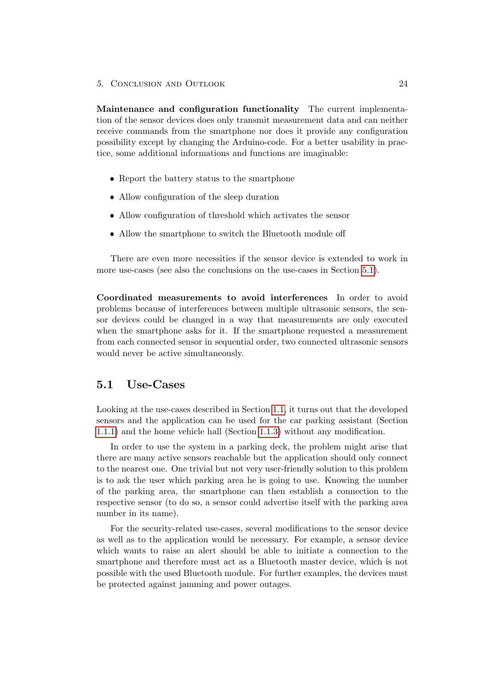5. Conclusion and Outlook 24

Maintenance and configuration functionality The current implementation of the sensor devices does only transmit measurement data and can neither receive commands from the smartphone nor does it provide any configuration possibility except by changing the Arduino-code. For a better usability in practice, some additional informations and functions are imaginable:

- Report the battery status to the smartphone
- Allow configuration of the sleep duration
- Allow configuration of threshold which activates the sensor
- Allow the smartphone to switch the Bluetooth module off

There are even more necessities if the sensor device is extended to work in more use-cases (see also the conclusions on the use-cases in Section [5.1\)](#page-27-0).

Coordinated measurements to avoid interferences In order to avoid problems because of interferences between multiple ultrasonic sensors, the sensor devices could be changed in a way that measurements are only executed when the smartphone asks for it. If the smartphone requested a measurement from each connected sensor in sequential order, two connected ultrasonic sensors would never be active simultaneously.

#### <span id="page-27-0"></span>5.1 Use-Cases

Looking at the use-cases described in Section [1.1,](#page-4-1) it turns out that the developed sensors and the application can be used for the car parking assistant (Section [1.1.1\)](#page-4-2) and the home vehicle hall (Section [1.1.3\)](#page-5-0) without any modification.

In order to use the system in a parking deck, the problem might arise that there are many active sensors reachable but the application should only connect to the nearest one. One trivial but not very user-friendly solution to this problem is to ask the user which parking area he is going to use. Knowing the number of the parking area, the smartphone can then establish a connection to the respective sensor (to do so, a sensor could advertise itself with the parking area number in its name).

For the security-related use-cases, several modifications to the sensor device as well as to the application would be necessary. For example, a sensor device which wants to raise an alert should be able to initiate a connection to the smartphone and therefore must act as a Bluetooth master device, which is not possible with the used Bluetooth module. For further examples, the devices must be protected against jamming and power outages.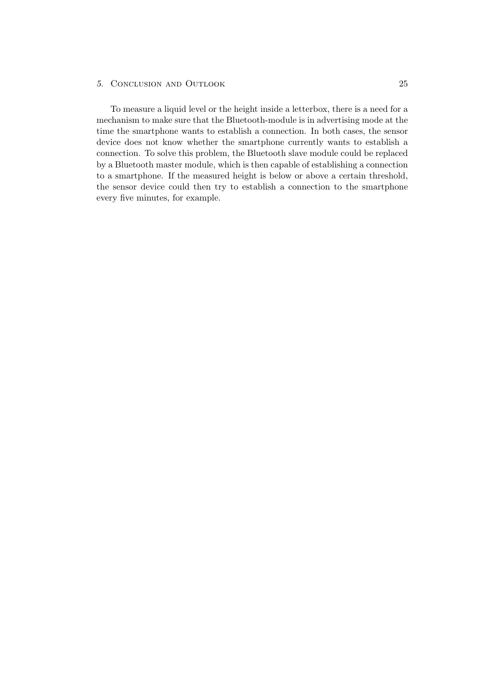#### 5. Conclusion and Outlook 25

To measure a liquid level or the height inside a letterbox, there is a need for a mechanism to make sure that the Bluetooth-module is in advertising mode at the time the smartphone wants to establish a connection. In both cases, the sensor device does not know whether the smartphone currently wants to establish a connection. To solve this problem, the Bluetooth slave module could be replaced by a Bluetooth master module, which is then capable of establishing a connection to a smartphone. If the measured height is below or above a certain threshold, the sensor device could then try to establish a connection to the smartphone every five minutes, for example.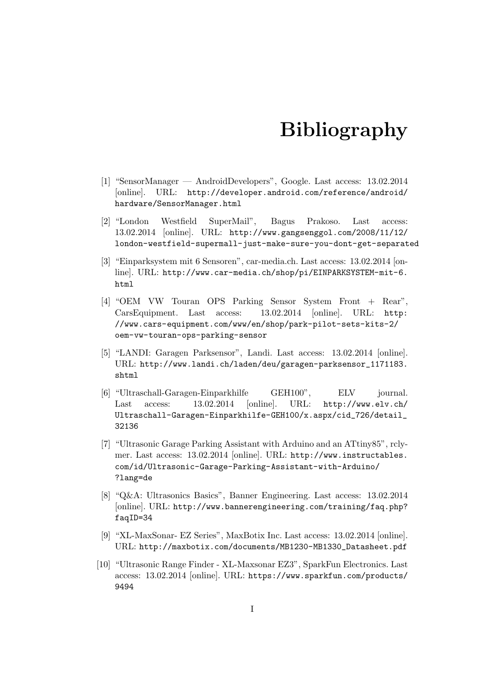# Bibliography

- <span id="page-29-1"></span><span id="page-29-0"></span>[1] "SensorManager — AndroidDevelopers", Google. Last access: 13.02.2014 [online]. URL: http://developer.android.com/reference/android/ hardware/SensorManager.html
- <span id="page-29-2"></span>[2] "London Westfield SuperMail", Bagus Prakoso. Last access: 13.02.2014 [online]. URL: http://www.gangsenggol.com/2008/11/12/ london-westfield-supermall-just-make-sure-you-dont-get-separated
- <span id="page-29-3"></span>[3] "Einparksystem mit 6 Sensoren", car-media.ch. Last access: 13.02.2014 [online]. URL: http://www.car-media.ch/shop/pi/EINPARKSYSTEM-mit-6. html
- <span id="page-29-4"></span>[4] "OEM VW Touran OPS Parking Sensor System Front + Rear", CarsEquipment. Last access: 13.02.2014 [online]. URL: http: //www.cars-equipment.com/www/en/shop/park-pilot-sets-kits-2/ oem-vw-touran-ops-parking-sensor
- <span id="page-29-5"></span>[5] "LANDI: Garagen Parksensor", Landi. Last access: 13.02.2014 [online]. URL: http://www.landi.ch/laden/deu/garagen-parksensor\_1171183. shtml
- <span id="page-29-6"></span>[6] "Ultraschall-Garagen-Einparkhilfe GEH100", ELV journal. Last access: 13.02.2014 [online]. URL: http://www.elv.ch/ Ultraschall-Garagen-Einparkhilfe-GEH100/x.aspx/cid\_726/detail\_ 32136
- <span id="page-29-7"></span>[7] "Ultrasonic Garage Parking Assistant with Arduino and an ATtiny85", rclymer. Last access: 13.02.2014 [online]. URL: http://www.instructables. com/id/Ultrasonic-Garage-Parking-Assistant-with-Arduino/ ?lang=de
- <span id="page-29-8"></span>[8] "Q&A: Ultrasonics Basics", Banner Engineering. Last access: 13.02.2014 [online]. URL: http://www.bannerengineering.com/training/faq.php? faqID=34
- <span id="page-29-9"></span>[9] "XL-MaxSonar- EZ Series", MaxBotix Inc. Last access: 13.02.2014 [online]. URL: http://maxbotix.com/documents/MB1230-MB1330\_Datasheet.pdf
- <span id="page-29-10"></span>[10] "Ultrasonic Range Finder - XL-Maxsonar EZ3", SparkFun Electronics. Last access: 13.02.2014 [online]. URL: https://www.sparkfun.com/products/ 9494